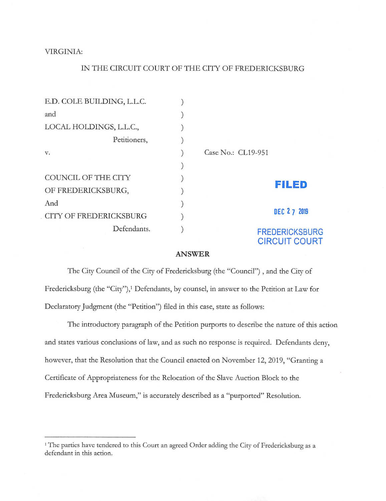VIRGINIA:

## IN THE CIRCUIT COURT OF THE CITY OF FREDERICKSBURG

| E.D. COLE BUILDING, L.L.C. |  |                                               |  |
|----------------------------|--|-----------------------------------------------|--|
| and                        |  |                                               |  |
| LOCAL HOLDINGS, L.L.C.,    |  |                                               |  |
| Petitioners,               |  |                                               |  |
| v.                         |  | Case No.: CL19-951                            |  |
|                            |  |                                               |  |
| COUNCIL OF THE CITY        |  | FILED                                         |  |
| OF FREDERICKSBURG,         |  |                                               |  |
| And                        |  | DEC 2 7 2019                                  |  |
| CITY OF FREDERICKSBURG     |  |                                               |  |
| Defendants.                |  | <b>FREDERICKSBURG</b><br><b>CIRCUIT COURT</b> |  |

## ANSWER

The City Council of the City of Fredericksburg (the "Council"), and the City of Fredericksburg (the "City"),<sup>1</sup> Defendants, by counsel, in answer to the Petition at Law for Declaratory Judgment (the "Petition") filed in this case, state as follows:

The introductory paragraph of the Petition purports to describe the nature of this action and states various conclusions of law, and as such no response is required. Defendants deny, however, that the Resolution that the Council enacted on November 12, 2019, "Granting a Certificate of Appropriateness for the Relocation of the Slave Auction Block to the Fredericksburg Area Museum," is accurately described as a "purported" Resolution.

<sup>&</sup>lt;sup>1</sup> The parties have tendered to this Court an agreed Order adding the City of Fredericksburg as a defendant in this action.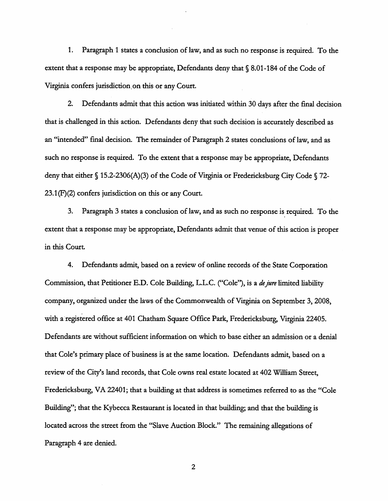1. Paragraph 1 states a conclusion of law, and as such no response is required. To the extent that a response may be appropriate, Defendants deny that  $\S 8.01$ -184 of the Code of Virginia confers jurisdiction, on this or any Court.

2. Defendants admit that this action was initiated within 30 days after the final decision that is challenged in this action. Defendants deny that such decision is accurately described as an "intended" final decision. The remainder of Paragraph 2 states conclusions of law, and as such no response is required. To the extent that a response may be appropriate. Defendants deny that either § 15.2-2306(A)(3) of the Code of Virginia or Fredericksburg City Code § 72- 23.1(F)(2) confers jurisdiction on this or any Court.

3. Paragraph 3 states a conclusion of law, and as such no response is required. To the extent that a response may be appropriate. Defendants admit that venue of this action is proper in this Court.

4. Defendants admit, based on a review of online records of the State Corporation Commission, that Petitioner E.D. Cole Building, L.L.C. ("Cole"), is a *de jure* limited liability company, organized under the laws of the Commonwealth of Virginia on September 3, 2008, with a registered office at 401 Chatham Square Office Park, Fredericksburg, Virginia 22405. Defendants are without sufficient information on which to base either an admission or a denial that Cole's primary place of business is at the same location. Defendants admit, based on a review of the City's land records, that Cole owns real estate located at 402 William Street, Fredericksburg, VA 22401; that a building at that address is sometimes referred to as the "Cole Building"; that the Kybecca Restaurant is located in that building; and that the building is located across the street from the "Slave Auction Block." The remaining allegations of Paragraph 4 are denied.

 $\overline{2}$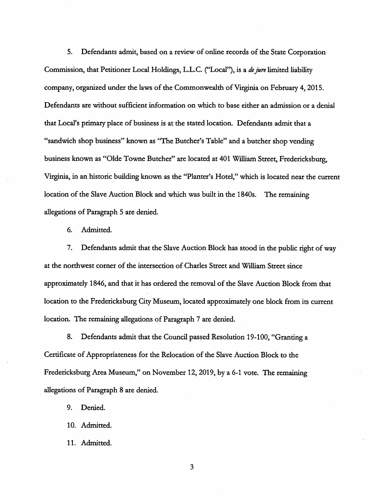5. Defendants admit, based on a review of online records of the State Corporation Commission, that Petitioner Local Holdings, L.L.C. ("Local"), is a de jure limited liability company, organized under the laws of the Commonwealth of Virginia on February 4, 2015. Defendants are without sufficient information on which to base either an admission or a denial that Local's primary place of business is at the stated location. Defendants admit that a "sandwich shop business" known as "The Butcher's Table" and a butcher shop vending business known as "Olde Towne Butcher" are located at 401 William Street, Fredericksburg, Virginia, in an historic building known as the "Planter's Hotel," which is located near the current location of the Slave Auction Block and which was built in the 1840s. The remaining allegations of Paragraph 5 are denied.

6. Admitted.

7. Defendants admit that the Slave Auction Block has stood in the public right of way at the northwest corner of the intersection of Charles Street and William Street since approximately 1846, and that it has ordered the removal of the Slave Auction Block from that location to the Fredericksburg City Museum, located approximately one block from its current location. The remaining allegations of Paragraph 7 are denied.

8. Defendants admit that the Council passed Resolution 19-100, "Granting a Certificate of Appropriateness for the Relocation of the Slave Auction Block to the Fredericksburg Area Museum," on November 12, 2019, by a 6-1 vote. The remaining allegations of Paragraph 8 are denied.

9. Denied.

10. Admitted.

11. Admitted.

3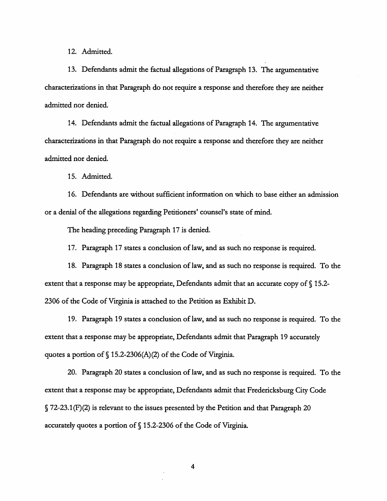12. Admitted.

13. Defendants admit the factual allegations of Paragraph 13. The argumentative characterizations in that Paragraph do not require a response and therefore they are neither admitted nor denied.

14. Defendants admit the factual allegations of Paragraph 14. The argumentative characterizations in that Paragraph do not require a response and therefore they are neither admitted nor denied.

15. Admitted.

16. Defendants are without sufficient information on which to base either an admission or a denial of the allegations regarding Petitioners' counsel's state of mind.

The heading preceding Paragraph 17 is denied.

17. Paragraph 17 states a conclusion of law, and as such no response is required.

18. Paragraph 18 states a conclusion of law, and as such no response is required. To the extent that a response may be appropriate. Defendants admit that an accurate copy of  $\S$  15.2-2306 of the Code of Virginia is attached to the Petition as Exhibit D.

19. Paragraph 19 states a conclusion of law, and as such no response is required. To the extent that a response may be appropriate. Defendants admit that Paragraph 19 accurately quotes a portion of § 15.2-2306(A)(2) of the Code of Virginia.

20. Paragraph 20 states a conclusion of law, and as such no response is required. To the extent that a response may be appropriate. Defendants admit that Fredericksburg City Code § 72-23.1 (F)(2) is relevant to the issues presented by the Petition and that Paragraph 20 accurately quotes a portion of § 15.2-2306 of the Code of Virginia.

 $\overline{4}$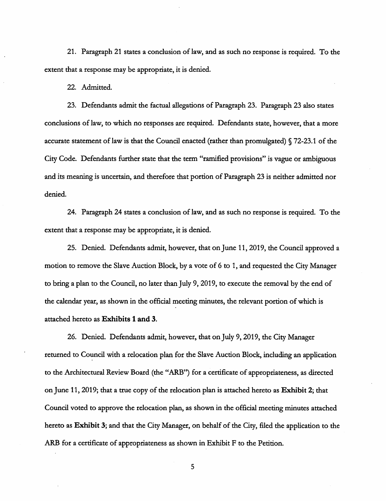21. Paragraph 21 states a conclusion of law, and as such no response is required. To the extent that a response may be appropriate, it is denied.

22. Admitted.

23. Defendants admit the factual allegations of Paragraph 23. Paragraph 23 also states conclusions of law, to which no responses are required. Defendants state, however, that a more accurate statement of law is that the Council enacted (rather than promulgated) § 72-23.1 of the City Code. Defendants further state that the term "ramified provisions" is vague or ambiguous and its meaning is uncertain, and therefore that portion of Paragraph 23 is neither admitted nor denied.

24. Paragraph 24 states a conclusion of law, and as such no response is required. To the extent that a response may be appropriate, it is denied.

25. Denied. Defendants admit, however, that on June 11, 2019, the Council approved a motion to remove the Slave Auction Block, by a vote of 6 to 1, and requested the City Manager to bring a plan to the Council, no later than July 9, 2019, to execute the removal by the end of the calendar year, as shown in the official meeting minutes, the relevant portion of which is attached hereto as Exhibits 1 and 3.

26. Denied. Defendants admit, however, that on July 9,2019, the City Manager returned to Council with a relocation plan for the Slave Auction Block, including an application to the Architectural Review Board (the "ARB") for a certificate of appropriateness, as directed on June 11, 2019; that a true copy of the relocation plan is attached hereto as Exhibit 2; that Council voted to approve the relocation plan, as shown in the official meeting minutes attached hereto as Exhibit 3; and that the City Manager, on behalf of the City, filed the application to the ARB for a certificate of appropriateness as shown in Exhibit F to the Petition.

5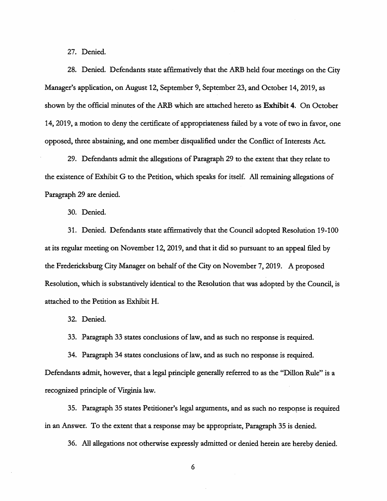27. Denied.

28. Denied. Defendants state affirmatively that the ARB held four meetings on the City Manager's application, on August 12, September 9, September 23, and October 14, 2019, as shown by the official minutes of the ARB which are attached hereto as Exhibit 4. On October 14, 2019, a motion to deny the certificate of appropriateness failed by a vote of two in favor, one opposed, three abstaining, and one member disqualified under the Conflict of Interests Act.

29. Defendants admit the allegations of Paragraph 29 to the extent that they relate to the existence of Exhibit G to the Petition, which speaks for itself. All remaining allegations of Paragraph 29 are denied.

30. Denied.

31. Denied. Defendants state affirmatively that the Council adopted Resolution 19-100 at its regular meeting on November 12, 2019, and that it did so pursuant to an appeal filed by the Fredericksburg City Manager on behalf of the City on November 7, 2019. A proposed Resolution, which is substantively identical to the Resolution that was adopted by the Council, is attached to the Petition as Exhibit H.

32. Denied.

33. Paragraph 33 states conclusions of law, and as such no response is required.

34. Paragraph 34 states conclusions of law, and as such no response is required. Defendants admit, however, that a legal principle generally referred to as the "Dillon Rule" is a recognized principle of Virginia law.

35. Paragraph 35 states Petitioner's legal arguments, and as such no response is required in an Answer. To the extent that a response may be appropriate. Paragraph 35 is denied.

36. All allegations not otherwise expressly admitted or denied herein are hereby denied.

6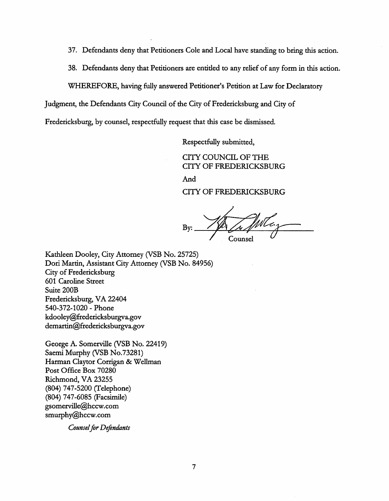- 37. Defendants deny that Petitioners Cole and Local have standing to bring this action.
- 38. Defendants deny that Petitioners are entitled to any relief of any form in this action.

WHEREFORE, having fully answered Petitioner's Petition at Law for Declaratory

Judgment, the Defendants City Council of the City of Fredericksburg and City of

Fredericksburg, by counsel, respectfully request that this case be dismissed.

Respectfully submitted,

CITY COUNCIL OF THE CITY OF FREDERICKSBURG And CITY OF FREDERICKSBURG

By: Counsel

Kathleen Dooley, City Attorney (VSB No. 25725) Dori Martin, Assistant City Attorney (VSB No. 84956) City of Fredericksburg 601 Caroline Street Suite 200B Fredericksburg, VA 22404 540-372-1020 - Phone kdooley@fredericksburgva.gov demartin@fredericksburgva.gov

George A. Somerville (VSB No. 22419) Saemi Murphy (VSB No.73281) Harman Claytor Corrigan & Wellman Post Office Box 70280 Richmond, VA 23255 (804) 747-5200 (Telephone) (804) 747-6085 (Facsimile) gsomerville@hccw.com smurphy@hccw.com

Counsel for Defendants